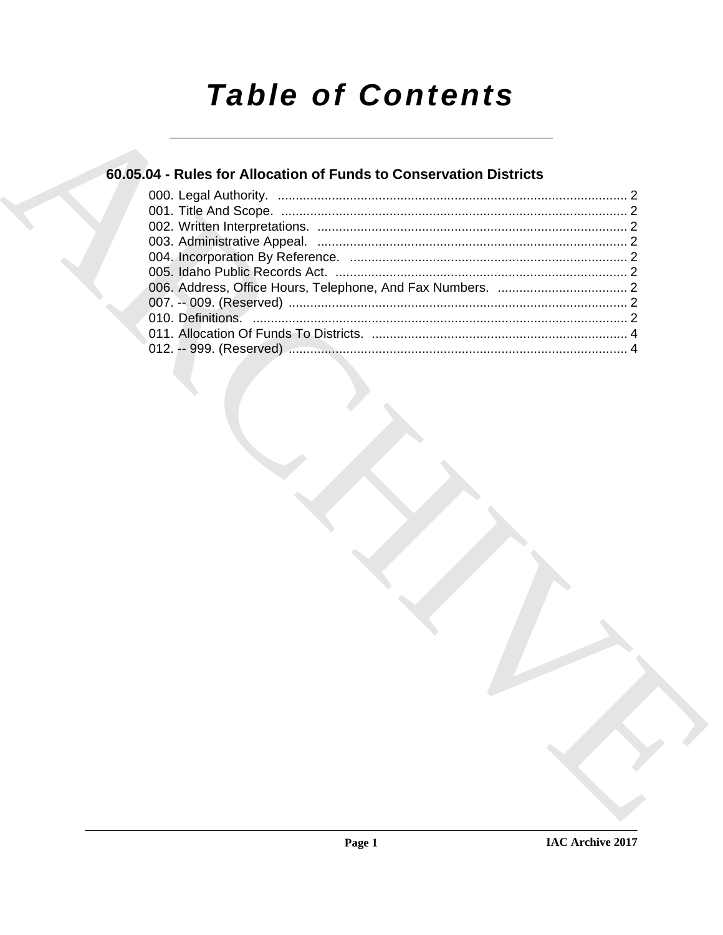# **Table of Contents**

## 60.05.04 - Rules for Allocation of Funds to Conservation Districts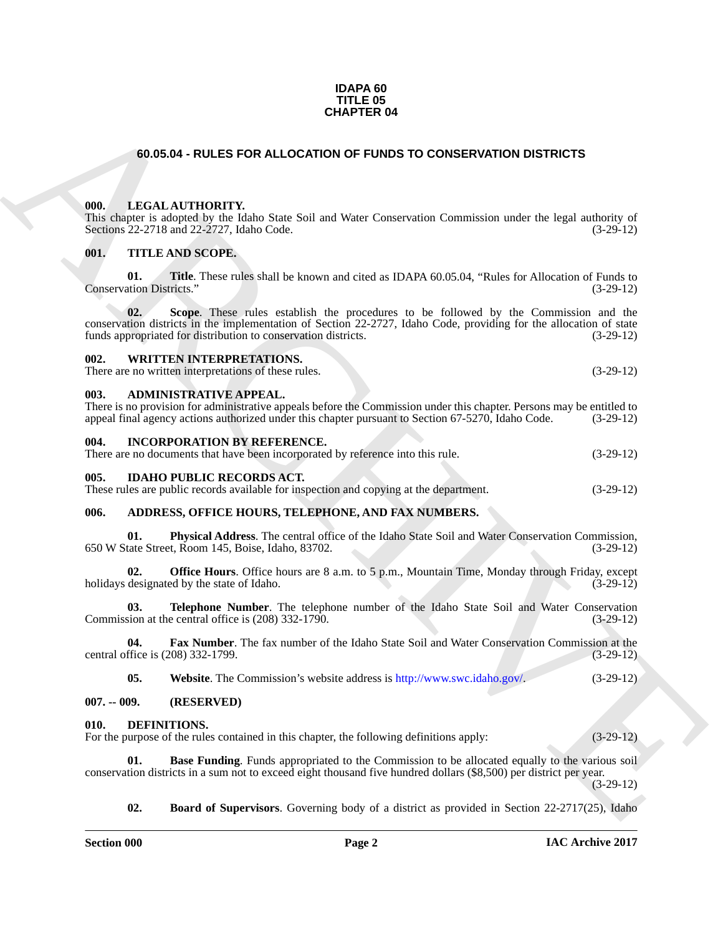#### **IDAPA 60 TITLE 05 CHAPTER 04**

#### <span id="page-1-0"></span>**60.05.04 - RULES FOR ALLOCATION OF FUNDS TO CONSERVATION DISTRICTS**

#### <span id="page-1-1"></span>**000. LEGAL AUTHORITY.**

This chapter is adopted by the Idaho State Soil and Water Conservation Commission under the legal authority of Sections 22-2718 and 22-2727, Idaho Code. (3-29-12)

#### <span id="page-1-2"></span>**001. TITLE AND SCOPE.**

**01. Title**. These rules shall be known and cited as IDAPA 60.05.04, "Rules for Allocation of Funds to tation Districts." (3-29-12) Conservation Districts."

**60.05.04 - RULES FOR ALLOCATION OF FUNDS TO CONSER[V](http://www.swc.idaho.gov/)ATION DISTRICTS<br>
(0).** LEGAL ALTIFORTEY, take Cons. Said Said Water Conservation Contrainsion under the large landesty of<br>
Venture THTL ANS SCOPE.<br>
(6). THIL ANS SCOPE.<br> **02. Scope**. These rules establish the procedures to be followed by the Commission and the conservation districts in the implementation of Section 22-2727, Idaho Code, providing for the allocation of state funds appropriated for distribution to conservation districts. (3-29-12)

#### <span id="page-1-3"></span>**002. WRITTEN INTERPRETATIONS.**

There are no written interpretations of these rules. (3-29-12)

#### <span id="page-1-4"></span>**003. ADMINISTRATIVE APPEAL.**

| There is no provision for administrative appeals before the Commission under this chapter. Persons may be entitled to |             |
|-----------------------------------------------------------------------------------------------------------------------|-------------|
| appeal final agency actions authorized under this chapter pursuant to Section 67-5270, Idaho Code.                    | $(3-29-12)$ |

#### <span id="page-1-5"></span>**004. INCORPORATION BY REFERENCE.**

| There are no documents that have been incorporated by reference into this rule. | $(3-29-12)$                      |  |
|---------------------------------------------------------------------------------|----------------------------------|--|
| 005                                                                             | <b>IDAHO PUBLIC RECORDS ACT.</b> |  |

<span id="page-1-6"></span>These rules are public records available for inspection and copying at the department. (3-29-12)

#### <span id="page-1-7"></span>**006. ADDRESS, OFFICE HOURS, TELEPHONE, AND FAX NUMBERS.**

**01.** Physical Address. The central office of the Idaho State Soil and Water Conservation Commission, tate Street, Room 145, Boise, Idaho, 83702. 650 W State Street, Room 145, Boise, Idaho, 83702.

**02. Office Hours**. Office hours are 8 a.m. to 5 p.m., Mountain Time, Monday through Friday, except designated by the state of Idaho. (3-29-12) holidays designated by the state of Idaho.

**03. Telephone Number**. The telephone number of the Idaho State Soil and Water Conservation Commission at the central office is (208) 332-1790. (3-29-12)

**04. Fax Number**. The fax number of the Idaho State Soil and Water Conservation Commission at the firce is (208) 332-1799. (3-29-12) central office is (208) 332-1799.

<span id="page-1-10"></span>**05. Website**. The Commission's website address is http://www.swc.idaho.gov/. (3-29-12)

#### <span id="page-1-8"></span>**007. -- 009. (RESERVED)**

#### <span id="page-1-9"></span>**010. DEFINITIONS.**

For the purpose of the rules contained in this chapter, the following definitions apply: (3-29-12)

**01. Base Funding**. Funds appropriated to the Commission to be allocated equally to the various soil conservation districts in a sum not to exceed eight thousand five hundred dollars (\$8,500) per district per year. (3-29-12)

<span id="page-1-12"></span><span id="page-1-11"></span>**02. Board of Supervisors**. Governing body of a district as provided in Section 22-2717(25), Idaho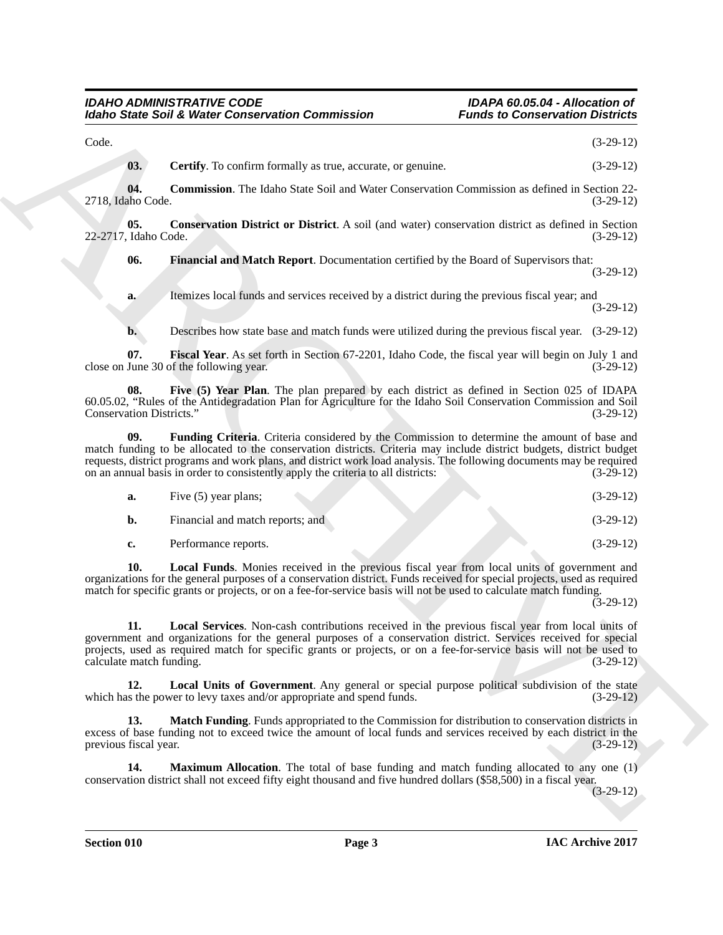#### <span id="page-2-1"></span><span id="page-2-0"></span>*IDAHO ADMINISTRATIVE CODE IDAPA 60.05.04 - Allocation of Idaho State Soil & Water Conservation Commission Funds to Conservation Districts*

Motio State Solid Weiser Conservation Commission Franchi to Conservation (3-28-13)<br>
(3. Certify To confirm formula status, account or promote.<br>
(4. 20-12)<br>
(4. Certify To confirm formula status, account or promote.<br>
(4. 2 Code. (3-29-12) **03. Certify**. To confirm formally as true, accurate, or genuine. (3-29-12) **04. Commission**. The Idaho State Soil and Water Conservation Commission as defined in Section 22- 2718, Idaho Code. (3-29-12) **05. Conservation District or District**. A soil (and water) conservation district as defined in Section 22-2717, Idaho Code. (3-29-12) **06. Financial and Match Report**. Documentation certified by the Board of Supervisors that: (3-29-12) **a.** Itemizes local funds and services received by a district during the previous fiscal year; and

<span id="page-2-3"></span><span id="page-2-2"></span>(3-29-12)

<span id="page-2-5"></span><span id="page-2-4"></span>**b.** Describes how state base and match funds were utilized during the previous fiscal year.  $(3-29-12)$ 

**07. Fiscal Year**. As set forth in Section 67-2201, Idaho Code, the fiscal year will begin on July 1 and close on June 30 of the following year.

**08. Five (5) Year Plan**. The plan prepared by each district as defined in Section 025 of IDAPA 60.05.02, "Rules of the Antidegradation Plan for Agriculture for the Idaho Soil Conservation Commission and Soil Conservation Districts."

**09. Funding Criteria**. Criteria considered by the Commission to determine the amount of base and match funding to be allocated to the conservation districts. Criteria may include district budgets, district budget requests, district programs and work plans, and district work load analysis. The following documents may be required on an annual basis in order to consistently apply the criteria to all districts: (3-29-12)

<span id="page-2-7"></span><span id="page-2-6"></span>

| а. | Five $(5)$ year plans;           | $(3-29-12)$ |
|----|----------------------------------|-------------|
|    | Financial and match reports; and | $(3-29-12)$ |
| c. | Performance reports.             | $(3-29-12)$ |

**10. Local Funds**. Monies received in the previous fiscal year from local units of government and organizations for the general purposes of a conservation district. Funds received for special projects, used as required match for specific grants or projects, or on a fee-for-service basis will not be used to calculate match funding.

 $(3-29-12)$ 

<span id="page-2-8"></span>**11. Local Services**. Non-cash contributions received in the previous fiscal year from local units of government and organizations for the general purposes of a conservation district. Services received for special projects, used as required match for specific grants or projects, or on a fee-for-service basis will not be used to calculate match funding. (3-29-12) calculate match funding.

<span id="page-2-9"></span>**12. Local Units of Government**. Any general or special purpose political subdivision of the state which has the power to levy taxes and/or appropriate and spend funds. (3-29-12)

<span id="page-2-10"></span>13. Match Funding. Funds appropriated to the Commission for distribution to conservation districts in excess of base funding not to exceed twice the amount of local funds and services received by each district in the previous fiscal year. (3-29-12)

<span id="page-2-11"></span>**14. Maximum Allocation**. The total of base funding and match funding allocated to any one (1) conservation district shall not exceed fifty eight thousand and five hundred dollars (\$58,500) in a fiscal year.

(3-29-12)

**Section 010 Page 3**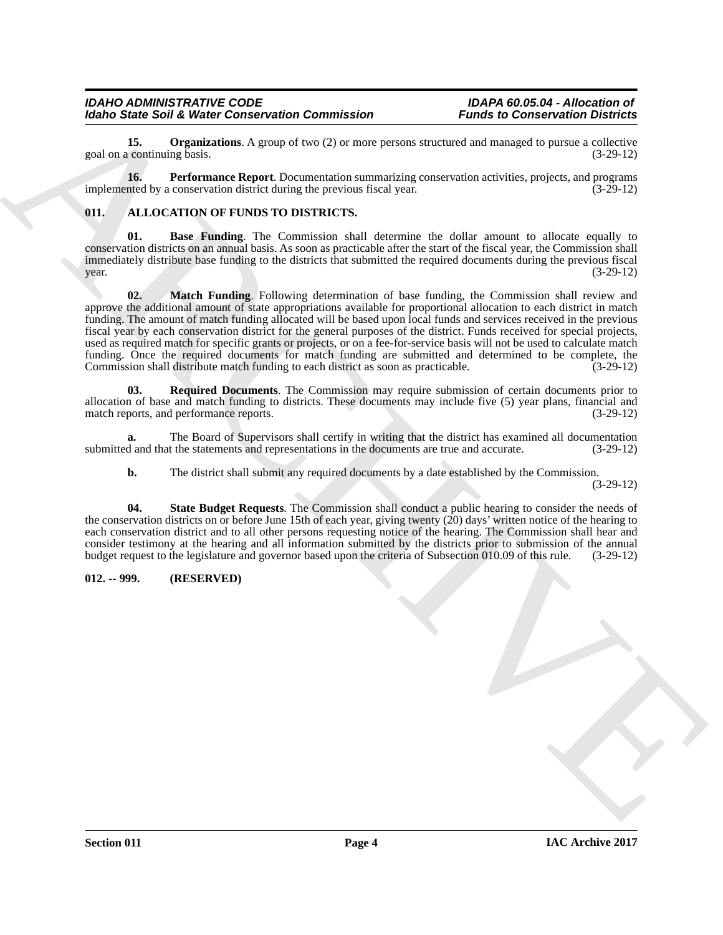#### *IDAHO ADMINISTRATIVE CODE IDAPA 60.05.04 - Allocation of Idaho State Soil & Water Conservation Commission*

<span id="page-3-7"></span>**15. Organizations**. A group of two (2) or more persons structured and managed to pursue a collective continuing basis. goal on a continuing basis.

<span id="page-3-8"></span>**16. Performance Report**. Documentation summarizing conservation activities, projects, and programs nted by a conservation district during the previous fiscal year. (3-29-12) implemented by a conservation district during the previous fiscal year.

#### <span id="page-3-2"></span><span id="page-3-0"></span>**011. ALLOCATION OF FUNDS TO DISTRICTS.**

<span id="page-3-4"></span><span id="page-3-3"></span>**01. Base Funding**. The Commission shall determine the dollar amount to allocate equally to conservation districts on an annual basis. As soon as practicable after the start of the fiscal year, the Commission shall immediately distribute base funding to the districts that submitted the required documents during the previous fiscal  $\mu$  year.  $(3-29-12)$ 

More Said Wave Conservation Commission<br>
grad to Wave Conservation Commission<br>
grad to Wave Conservation Account of the properties of the state of the state of the state of the state of the state of the state of the state **02. Match Funding**. Following determination of base funding, the Commission shall review and approve the additional amount of state appropriations available for proportional allocation to each district in match funding. The amount of match funding allocated will be based upon local funds and services received in the previous fiscal year by each conservation district for the general purposes of the district. Funds received for special projects, used as required match for specific grants or projects, or on a fee-for-service basis will not be used to calculate match funding. Once the required documents for match funding are submitted and determined to be complete, the Commission shall distribute match funding to each district as soon as practicable. (3-29-12)

<span id="page-3-5"></span>**03. Required Documents**. The Commission may require submission of certain documents prior to allocation of base and match funding to districts. These documents may include five (5) year plans, financial and match reports, and performance reports. (3-29-12) match reports, and performance reports.

**a.** The Board of Supervisors shall certify in writing that the district has examined all documentation d and that the statements and representations in the documents are true and accurate.  $(3-29-12)$ submitted and that the statements and representations in the documents are true and accurate.

<span id="page-3-6"></span>**b.** The district shall submit any required documents by a date established by the Commission.

(3-29-12)

**04. State Budget Requests**. The Commission shall conduct a public hearing to consider the needs of the conservation districts on or before June 15th of each year, giving twenty (20) days' written notice of the hearing to each conservation district and to all other persons requesting notice of the hearing. The Commission shall hear and consider testimony at the hearing and all information submitted by the districts prior to submission of the annual budget request to the legislature and governor based upon the criteria of Subsection 010.09 of this rule. (3-29-12)

#### <span id="page-3-1"></span>**012. -- 999. (RESERVED)**